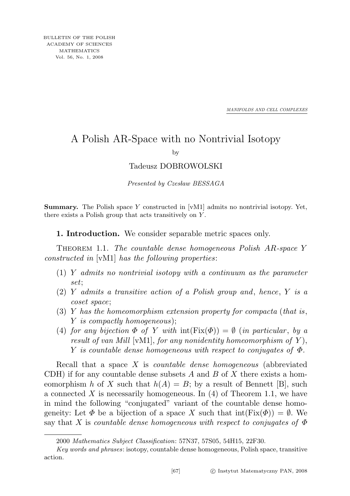*MANIFOLDS AND CELL COMPLEXES*

## A Polish AR-Space with no Nontrivial Isotopy

by

## Tadeusz DOBROWOLSKI

Presented by Czesław BESSAGA

**Summary.** The Polish space Y constructed in  $[VM1]$  admits no nontrivial isotopy. Yet, there exists a Polish group that acts transitively on Y .

1. Introduction. We consider separable metric spaces only.

THEOREM 1.1. The countable dense homogeneous Polish AR-space Y constructed in [vM1] has the following properties:

- $(1)$  Y admits no nontrivial isotopy with a continuum as the parameter set;
- (2) Y admits a transitive action of a Polish group and, hence, Y is a coset space;
- $(3)$  Y has the homeomorphism extension property for compacta (that is, Y is compactly homogeneous);
- (4) for any bijection  $\Phi$  of Y with  $\text{int}(Fix(\Phi)) = \emptyset$  (in particular, by a result of van Mill [vM1], for any nonidentity homeomorphism of  $Y$ ), Y is countable dense homogeneous with respect to conjugates of  $\Phi$ .

Recall that a space X is countable dense homogeneous (abbreviated CDH) if for any countable dense subsets A and B of X there exists a homeomorphism h of X such that  $h(A) = B$ ; by a result of Bennett [B], such a connected X is necessarily homogeneous. In  $(4)$  of Theorem 1.1, we have in mind the following "conjugated" variant of the countable dense homogeneity: Let  $\Phi$  be a bijection of a space X such that  $\text{int}(Fix(\Phi)) = \emptyset$ . We say that X is countable dense homogeneous with respect to conjugates of  $\Phi$ 

<sup>2000</sup> Mathematics Subject Classification: 57N37, 57S05, 54H15, 22F30.

Key words and phrases: isotopy, countable dense homogeneous, Polish space, transitive action.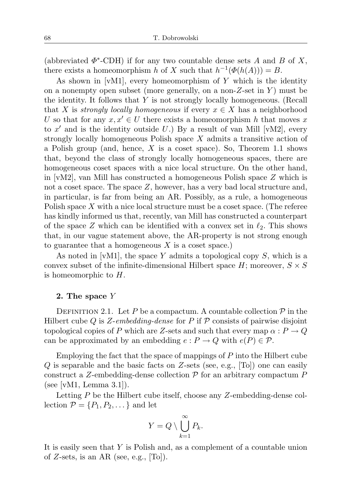(abbreviated  $\Phi^*$ -CDH) if for any two countable dense sets A and B of X, there exists a homeomorphism h of X such that  $h^{-1}(\Phi(h(A))) = B$ .

As shown in [vM1], every homeomorphism of  $Y$  which is the identity on a nonempty open subset (more generally, on a non-Z-set in  $Y$ ) must be the identity. It follows that  $Y$  is not strongly locally homogeneous. (Recall that X is strongly locally homogeneous if every  $x \in X$  has a neighborhood U so that for any  $x, x' \in U$  there exists a homeomorphism h that moves x to  $x'$  and is the identity outside U.) By a result of van Mill [vM2], every strongly locally homogeneous Polish space X admits a transitive action of a Polish group (and, hence, X is a coset space). So, Theorem 1.1 shows that, beyond the class of strongly locally homogeneous spaces, there are homogeneous coset spaces with a nice local structure. On the other hand, in  $|vM2|$ , van Mill has constructed a homogeneous Polish space Z which is not a coset space. The space Z, however, has a very bad local structure and, in particular, is far from being an AR. Possibly, as a rule, a homogeneous Polish space X with a nice local structure must be a coset space. (The referee has kindly informed us that, recently, van Mill has constructed a counterpart of the space Z which can be identified with a convex set in  $\ell_2$ . This shows that, in our vague statement above, the AR-property is not strong enough to guarantee that a homogeneous  $X$  is a coset space.)

As noted in [vM1], the space Y admits a topological copy  $S$ , which is a convex subset of the infinite-dimensional Hilbert space  $H$ ; moreover,  $S \times S$ is homeomorphic to H.

## 2. The space Y

DEFINITION 2.1. Let P be a compactum. A countable collection  $P$  in the Hilbert cube Q is Z-embedding-dense for P if  $P$  consists of pairwise disjoint topological copies of P which are Z-sets and such that every map  $\alpha : P \to Q$ can be approximated by an embedding  $e : P \to Q$  with  $e(P) \in \mathcal{P}$ .

Employing the fact that the space of mappings of P into the Hilbert cube  $Q$  is separable and the basic facts on Z-sets (see, e.g., [To]) one can easily construct a Z-embedding-dense collection  $P$  for an arbitrary compactum P (see [vM1, Lemma 3.1]).

Letting P be the Hilbert cube itself, choose any Z-embedding-dense collection  $\mathcal{P} = \{P_1, P_2, \dots\}$  and let

$$
Y = Q \setminus \bigcup_{k=1}^{\infty} P_k.
$$

It is easily seen that Y is Polish and, as a complement of a countable union of Z-sets, is an AR (see, e.g.,  $|T<sub>O</sub>|$ ).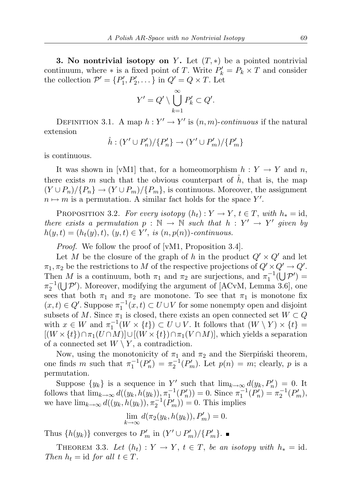**3. No nontrivial isotopy on** Y. Let  $(T, *)$  be a pointed nontrivial continuum, where  $*$  is a fixed point of T. Write  $P'_k = P_k \times T$  and consider the collection  $\mathcal{P}' = \{P'_1, P'_2, \dots\}$  in  $Q' = Q \times T$ . Let

$$
Y'=Q'\setminus \bigcup_{k=1}^{\infty} P'_k\subset Q'.
$$

DEFINITION 3.1. A map  $h: Y' \to Y'$  is  $(n, m)$ -continuous if the natural extension

$$
\hat{h} : (Y' \cup P'_n) / \{P'_n\} \to (Y' \cup P'_m) / \{P'_m\}
$$

is continuous.

It was shown in [vM1] that, for a homeomorphism  $h: Y \to Y$  and n, there exists m such that the obvious counterpart of  $h$ , that is, the map  $(Y \cup P_n)/\{P_n\} \to (Y \cup P_m)/\{P_m\}$ , is continuous. Moreover, the assignment  $n \mapsto m$  is a permutation. A similar fact holds for the space Y'.

PROPOSITION 3.2. For every isotopy  $(h_t): Y \to Y, t \in T$ , with  $h_* = id$ , there exists a permutation  $p : \mathbb{N} \to \mathbb{N}$  such that  $h : Y' \to Y'$  given by  $h(y,t) = (h_t(y), t), (y, t) \in Y',$  is  $(n, p(n))$ -continuous.

Proof. We follow the proof of [vM1, Proposition 3.4].

Let M be the closure of the graph of h in the product  $Q' \times Q'$  and let  $\pi_1, \pi_2$  be the restrictions to M of the respective projections of  $Q' \times Q' \rightarrow Q'$ . Then M is a continuum, both  $\pi_1$  and  $\pi_2$  are surjections, and  $\pi_1^{-1}(\bigcup \mathcal{P}')$  $\pi_2^{-1}(\bigcup \mathcal{P}')$ . Moreover, modifying the argument of [ACvM, Lemma 3.6], one sees that both  $\pi_1$  and  $\pi_2$  are monotone. To see that  $\pi_1$  is monotone fix  $(x,t) \in Q'$ . Suppose  $\pi_1^{-1}(x,t) \subset U \cup V$  for some nonempty open and disjoint subsets of M. Since  $\pi_1$  is closed, there exists an open connected set  $W \subset Q$ with  $x \in W$  and  $\pi_1^{-1}(W \times \{t\}) \subset U \cup V$ . It follows that  $(W \setminus Y) \times \{t\} =$  $[(W \times \{t\}) \cap \pi_1(U \cap M)] \cup [(W \times \{t\}) \cap \pi_1(V \cap M)]$ , which yields a separation of a connected set  $W \setminus Y$ , a contradiction.

Now, using the monotonicity of  $\pi_1$  and  $\pi_2$  and the Sierpiński theorem, one finds m such that  $\pi_1^{-1}(P_n') = \pi_2^{-1}(P_m')$ . Let  $p(n) = m$ ; clearly, p is a permutation.

Suppose  $\{y_k\}$  is a sequence in Y' such that  $\lim_{k\to\infty} d(y_k, P'_n) = 0$ . It follows that  $\lim_{k \to \infty} d((y_k, h(y_k)), \pi_1^{-1}(P'_n)) = 0$ . Since  $\pi_1^{-1}(P'_n) = \pi_2^{-1}(P'_n)$ , we have  $\lim_{k\to\infty} d((y_k, h(y_k)), \pi_2^{-1}(P'_m)) = 0$ . This implies

 $\lim_{k \to \infty} d(\pi_2(y_k, h(y_k)), P'_m) = 0.$ 

Thus  $\{h(y_k)\}\)$  converges to  $P'_m$  in  $(Y' \cup P'_m)/\{P'_m\}.$ 

THEOREM 3.3. Let  $(h_t): Y \to Y$ ,  $t \in T$ , be an isotopy with  $h_* = id$ . Then  $h_t = id$  for all  $t \in T$ .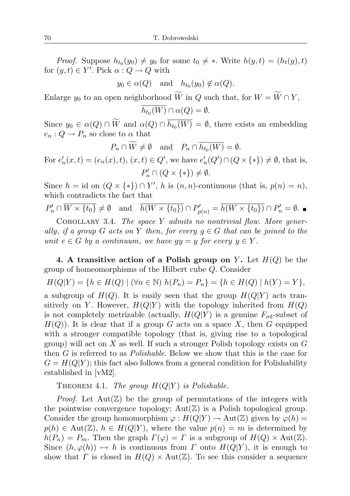*Proof.* Suppose  $h_{t_0}(y_0) \neq y_0$  for some  $t_0 \neq *$ . Write  $h(y, t) = (h_t(y), t)$ for  $(y, t) \in Y'$ . Pick  $\alpha : Q \to Q$  with

 $y_0 \in \alpha(Q)$  and  $h_{t_0}(y_0) \notin \alpha(Q)$ .

Enlarge  $y_0$  to an open neighborhood  $\widetilde{W}$  in  $Q$  such that, for  $W = \widetilde{W} \cap Y$ ,

$$
\overline{h_{t_0}(W)} \cap \alpha(Q) = \emptyset.
$$

Since  $y_0 \in \alpha(Q) \cap W$  and  $\alpha(Q) \cap h_{t_0}(W) = \emptyset$ , there exists an embedding  $e_n: Q \to P_n$  so close to  $\alpha$  that

 $P_n \cap W \neq \emptyset$  and  $P_n \cap h_{t_0}(W) = \emptyset$ .

For  $e'_n(x,t) = (e_n(x),t), (x,t) \in Q'$ , we have  $e'_n(Q') \cap (Q \times \{*\}) \neq \emptyset$ , that is,  $P'_n \cap (Q \times \{*\}) \neq \emptyset.$ 

Since  $h = id$  on  $(Q \times \{*\}) \cap Y'$ , h is  $(n, n)$ -continuous (that is,  $p(n) = n$ ), which contradicts the fact that

$$
P'_n \cap \overline{W \times \{t_0\}} \neq \emptyset \quad \text{and} \quad \overline{h(W \times \{t_0\})} \cap P'_{p(n)} = \overline{h(W \times \{t_0\})} \cap P'_n = \emptyset.
$$

COROLLARY 3.4. The space Y admits no nontrivial flow. More generally, if a group G acts on Y then, for every  $g \in G$  that can be joined to the unit  $e \in G$  by a continuum, we have  $gy = y$  for every  $y \in Y$ .

4. A transitive action of a Polish group on Y. Let  $H(Q)$  be the group of homeomorphisms of the Hilbert cube Q. Consider

$$
H(Q|Y) = \{ h \in H(Q) \mid (\forall n \in \mathbb{N}) \ h(P_n) = P_n \} = \{ h \in H(Q) \ | \ h(Y) = Y \},
$$

a subgroup of  $H(Q)$ . It is easily seen that the group  $H(Q|Y)$  acts transitively on Y. However,  $H(Q|Y)$  with the topology inherited from  $H(Q)$ is not completely metrizable (actually,  $H(Q|Y)$  is a genuine  $F_{\sigma\delta}$ -subset of  $H(Q)$ ). It is clear that if a group G acts on a space X, then G equipped with a stronger compatible topology (that is, giving rise to a topological group) will act on  $X$  as well. If such a stronger Polish topology exists on  $G$ then G is referred to as *Polishable*. Below we show that this is the case for  $G = H(Q|Y)$ ; this fact also follows from a general condition for Polishability established in [vM2].

THEOREM 4.1. The group  $H(Q|Y)$  is Polishable.

*Proof.* Let  $Aut(\mathbb{Z})$  be the group of permutations of the integers with the pointwise convergence topology;  $Aut(\mathbb{Z})$  is a Polish topological group. Consider the group homomorphism  $\varphi: H(Q|Y) \to \text{Aut}(\mathbb{Z})$  given by  $\varphi(h) =$  $p(h) \in \text{Aut}(\mathbb{Z}), h \in H(Q|Y)$ , where the value  $p(n) = m$  is determined by  $h(P_n) = P_m$ . Then the graph  $\Gamma(\varphi) = \Gamma$  is a subgroup of  $H(Q) \times Aut(\mathbb{Z})$ . Since  $(h, \varphi(h)) \mapsto h$  is continuous from  $\Gamma$  onto  $H(Q|Y)$ , it is enough to show that  $\Gamma$  is closed in  $H(Q) \times Aut(\mathbb{Z})$ . To see this consider a sequence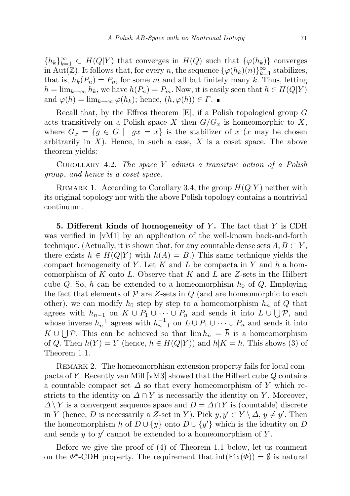${h_k}_{k=1}^{\infty} \subset H(Q|Y)$  that converges in  $H(Q)$  such that  ${\varphi(h_k)}$  converges in Aut( $\mathbb{Z}$ ). It follows that, for every n, the sequence  $\{\varphi(h_k)(n)\}_{k=1}^{\infty}$  stabilizes, that is,  $h_k(P_n) = P_m$  for some m and all but finitely many k. Thus, letting  $h = \lim_{k \to \infty} h_k$ , we have  $h(P_n) = P_m$ . Now, it is easily seen that  $h \in H(Q|Y)$ and  $\varphi(h) = \lim_{k \to \infty} \varphi(h_k)$ ; hence,  $(h, \varphi(h)) \in \Gamma$ .

Recall that, by the Effros theorem  $[E]$ , if a Polish topological group  $G$ acts transitively on a Polish space X then  $G/G_x$  is homeomorphic to X, where  $G_x = \{g \in G \mid gx = x\}$  is the stabilizer of x  $(x \text{ may be chosen})$ arbitrarily in  $X$ ). Hence, in such a case,  $X$  is a coset space. The above theorem yields:

COROLLARY 4.2. The space Y admits a transitive action of a Polish group, and hence is a coset space.

REMARK 1. According to Corollary 3.4, the group  $H(Q|Y)$  neither with its original topology nor with the above Polish topology contains a nontrivial continuum.

5. Different kinds of homogeneity of  $Y$ . The fact that  $Y$  is CDH was verified in [vM1] by an application of the well-known back-and-forth technique. (Actually, it is shown that, for any countable dense sets  $A, B \subset Y$ , there exists  $h \in H(Q|Y)$  with  $h(A) = B$ .) This same technique yields the compact homogeneity of Y. Let K and L be compacta in Y and h a homeomorphism of K onto L. Observe that K and L are Z-sets in the Hilbert cube Q. So, h can be extended to a homeomorphism  $h_0$  of Q. Employing the fact that elements of  $P$  are Z-sets in  $Q$  (and are homeomorphic to each other), we can modify  $h_0$  step by step to a homeomorphism  $h_n$  of Q that agrees with  $h_{n-1}$  on  $K \cup P_1 \cup \cdots \cup P_n$  and sends it into  $L \cup \bigcup \mathcal{P}$ , and whose inverse  $h_n^{-1}$  agrees with  $h_{n-1}^{-1}$  on  $L \cup P_1 \cup \cdots \cup P_n$  and sends it into  $K \cup \bigcup \mathcal{P}$ . This can be achieved so that  $\lim h_n = \overline{h}$  is a homeomorphism of Q. Then  $\bar{h}(Y) = Y$  (hence,  $\bar{h} \in H(Q|Y)$ ) and  $\bar{h}|K = h$ . This shows (3) of Theorem 1.1.

Remark 2. The homeomorphism extension property fails for local compacta of Y. Recently van Mill  $[vM3]$  showed that the Hilbert cube  $Q$  contains a countable compact set  $\Delta$  so that every homeomorphism of Y which restricts to the identity on  $\Delta \cap Y$  is necessarily the identity on Y. Moreover,  $\Delta \backslash Y$  is a convergent sequence space and  $D = \Delta \cap Y$  is (countable) discrete in Y (hence, D is necessarily a Z-set in Y). Pick  $y, y' \in Y \setminus \Delta, y \neq y'$ . Then the homeomorphism h of  $D \cup \{y\}$  onto  $D \cup \{y'\}$  which is the identity on D and sends  $y$  to  $y'$  cannot be extended to a homeomorphism of  $Y$ .

Before we give the proof of (4) of Theorem 1.1 below, let us comment on the  $\Phi^*$ -CDH property. The requirement that  $\text{int}(\text{Fix}(\Phi)) = \emptyset$  is natural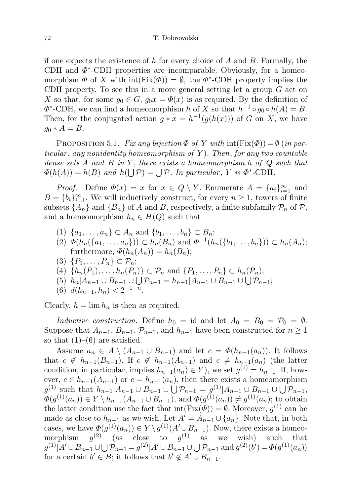if one expects the existence of h for every choice of A and B. Formally, the CDH and  $\Phi^*$ -CDH properties are incomparable. Obviously, for a homeomorphism  $\Phi$  of X with  $\text{int}(Fix(\Phi)) = \emptyset$ , the  $\Phi^*$ -CDH property implies the CDH property. To see this in a more general setting let a group  $G$  act on X so that, for some  $g_0 \in G$ ,  $g_0 x = \Phi(x)$  is as required. By the definition of  $\Phi^*$ -CDH, we can find a homeomorphism h of X so that  $h^{-1} \circ g_0 \circ h(A) = B$ . Then, for the conjugated action  $g * x = h^{-1}(g(h(x)))$  of G on X, we have  $g_0 * A = B.$ 

PROPOSITION 5.1. Fix any bijection  $\Phi$  of Y with  $\text{int}(\text{Fix}(\Phi)) = \emptyset$  (in particular, any nonidentity homeomorphism of Y. Then, for any two countable dense sets A and B in Y, there exists a homeomorphism h of  $Q$  such that  $\Phi(h(A)) = h(B)$  and  $h(\bigcup \mathcal{P}) = \bigcup \mathcal{P}$ . In particular, Y is  $\Phi^*$ -CDH.

*Proof.* Define  $\Phi(x) = x$  for  $x \in Q \setminus Y$ . Enumerate  $A = \{a_i\}_{i=1}^{\infty}$  and  $B = \{b_i\}_{i=1}^{\infty}$ . We will inductively construct, for every  $n \geq 1$ , towers of finite subsets  $\{A_n\}$  and  $\{B_n\}$  of A and B, respectively, a finite subfamily  $\mathcal{P}_n$  of  $\mathcal{P}$ , and a homeomorphism  $h_n \in H(Q)$  such that

- (1)  $\{a_1, ..., a_n\} \subset A_n$  and  $\{b_1, ..., b_n\} \subset B_n$ ;
- (2)  $\Phi(h_n(\{a_1, \ldots, a_n\})) \subset h_n(B_n)$  and  $\Phi^{-1}(h_n(\{b_1, \ldots, b_n\})) \subset h_n(A_n);$ furthermore,  $\Phi(h_n(A_n)) = h_n(B_n);$
- $(3) \{P_1,\ldots,P_n\} \subset \mathcal{P}_n;$
- (4)  $\{h_n(P_1), \ldots, h_n(P_n)\} \subset \mathcal{P}_n$  and  $\{P_1, \ldots, P_n\} \subset h_n(\mathcal{P}_n);$
- (5)  $h_n|A_{n-1} \cup B_{n-1} \cup \bigcup \mathcal{P}_{n-1} = h_{n-1}|A_{n-1} \cup B_{n-1} \cup \bigcup \mathcal{P}_{n-1};$
- (6)  $d(h_{n-1}, h_n) < 2^{-1-n}$ .

Clearly,  $h = \lim h_n$  is then as required.

Inductive construction. Define  $h_0 = id$  and let  $A_0 = B_0 = \mathcal{P}_0 = \emptyset$ . Suppose that  $A_{n-1}, B_{n-1}, \mathcal{P}_{n-1}$ , and  $h_{n-1}$  have been constructed for  $n \geq 1$ so that  $(1)$ – $(6)$  are satisfied.

Assume  $a_n \in A \setminus (A_{n-1} \cup B_{n-1})$  and let  $c = \Phi(h_{n-1}(a_n))$ . It follows that  $c \notin h_{n-1}(B_{n-1})$ . If  $c \notin h_{n-1}(A_{n-1})$  and  $c \neq h_{n-1}(a_n)$  (the latter condition, in particular, implies  $h_{n-1}(a_n) \in Y$ ), we set  $g^{(1)} = h_{n-1}$ . If, however,  $c \in h_{n-1}(A_{n-1})$  or  $c = h_{n-1}(a_n)$ , then there exists a homeomorphism  $g^{(1)}$  such that  $h_{n-1}|A_{n-1} \cup B_{n-1} \cup \bigcup \mathcal{P}_{n-1} = g^{(1)}|A_{n-1} \cup B_{n-1} \cup \bigcup \mathcal{P}_{n-1},$  $\Phi(g^{(1)}(a_n)) \in Y \setminus h_{n-1}(A_{n-1} \cup B_{n-1}), \text{ and } \Phi(g^{(1)}(a_n)) \neq g^{(1)}(a_n);$  to obtain the latter condition use the fact that  $\text{int}(\text{Fix}(\Phi)) = \emptyset$ . Moreover,  $g^{(1)}$  can be made as close to  $h_{n-1}$  as we wish. Let  $A' = A_{n-1} \cup \{a_n\}$ . Note that, in both cases, we have  $\Phi(g^{(1)}(a_n)) \in Y \setminus g^{(1)}(A' \cup B_{n-1})$ . Now, there exists a homeomorphism (2) (as close to  $g^{(1)}$  as we wish) such that  $g^{(1)}|A' \cup B_{n-1} \cup \bigcup \mathcal{P}_{n-1} = g^{(2)}|A' \cup B_{n-1} \cup \bigcup \mathcal{P}_{n-1}$  and  $g^{(2)}(b') = \Phi(g^{(1)}(a_n))$ for a certain  $b' \in B$ ; it follows that  $b' \notin A' \cup B_{n-1}$ .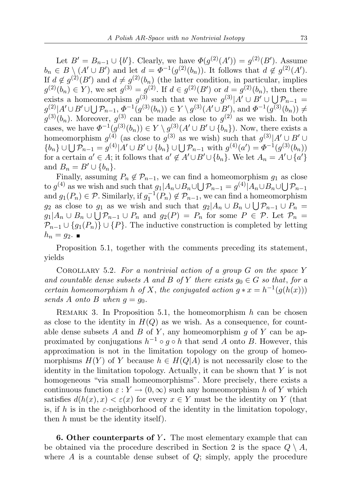Let  $B' = B_{n-1} \cup \{b'\}$ . Clearly, we have  $\Phi(g^{(2)}(A')) = g^{(2)}(B')$ . Assume  $b_n \in B \setminus (A' \cup B')$  and let  $d = \Phi^{-1}(g^{(2)}(b_n))$ . It follows that  $d \notin g^{(2)}(A')$ . If  $d \notin g^{(2)}(B')$  and  $d \neq g^{(2)}(b_n)$  (the latter condition, in particular, implies  $g^{(2)}(b_n) \in Y$ ), we set  $g^{(3)} = g^{(2)}$ . If  $d \in g^{(2)}(B')$  or  $d = g^{(2)}(b_n)$ , then there exists a homeomorphism  $g^{(3)}$  such that we have  $g^{(3)}|A' \cup B' \cup \bigcup \mathcal{P}_{n-1}$  $g^{(2)}|A' \cup B' \cup \bigcup \mathcal{P}_{n-1}, \Phi^{-1}(g^{(3)}(b_n)) \in Y \setminus g^{(3)}(A' \cup B'), \text{ and } \Phi^{-1}(g^{(3)}(b_n)) \neq 0$  $g^{(3)}(b_n)$ . Moreover,  $g^{(3)}$  can be made as close to  $g^{(2)}$  as we wish. In both cases, we have  $\Phi^{-1}(g^{(3)}(b_n)) \in Y \setminus g^{(3)}(A' \cup B' \cup \{b_n\})$ . Now, there exists a homeomorphism  $g^{(4)}$  (as close to  $g^{(3)}$  as we wish) such that  $g^{(3)}|A' \cup B' \cup$  $\{b_n\} \cup \bigcup \mathcal{P}_{n-1} = g^{(4)}|A' \cup B' \cup \{b_n\} \cup \bigcup \mathcal{P}_{n-1}$  with  $g^{(4)}(a') = \Phi^{-1}(g^{(3)}(b_n))$ for a certain  $a' \in A$ ; it follows that  $a' \notin A' \cup B' \cup \{b_n\}$ . We let  $A_n = A' \cup \{a'\}$ and  $B_n = B' \cup \{b_n\}.$ 

Finally, assuming  $P_n \notin \mathcal{P}_{n-1}$ , we can find a homeomorphism  $g_1$  as close to  $g^{(4)}$  as we wish and such that  $g_1|A_n \cup B_n \cup \bigcup \mathcal{P}_{n-1} = g^{(4)}|A_n \cup B_n \cup \bigcup \mathcal{P}_{n-1}$ and  $g_1(P_n) \in \mathcal{P}$ . Similarly, if  $g_1^{-1}(P_n) \notin \mathcal{P}_{n-1}$ , we can find a homeomorphism  $g_2$  as close to  $g_1$  as we wish and such that  $g_2|A_n \cup B_n \cup \bigcup \mathcal{P}_{n-1} \cup P_n =$  $g_1|A_n \cup B_n \cup \bigcup \mathcal{P}_{n-1} \cup P_n$  and  $g_2(P) = P_n$  for some  $P \in \mathcal{P}$ . Let  $\mathcal{P}_n =$  $\mathcal{P}_{n-1} \cup \{g_1(P_n)\} \cup \{P\}.$  The inductive construction is completed by letting  $h_n = g_2$ .

Proposition 5.1, together with the comments preceding its statement, yields

COROLLARY 5.2. For a nontrivial action of a group  $G$  on the space Y and countable dense subsets A and B of Y there exists  $g_0 \in G$  so that, for a certain homeomorphism h of X, the conjugated action  $g * x = h^{-1}(g(h(x)))$ sends A onto B when  $q = q_0$ .

REMARK 3. In Proposition 5.1, the homeomorphism  $h$  can be chosen as close to the identity in  $H(Q)$  as we wish. As a consequence, for countable dense subsets A and B of Y, any homeomorphism  $g$  of Y can be approximated by conjugations  $h^{-1} \circ g \circ h$  that send A onto B. However, this approximation is not in the limitation topology on the group of homeomorphisms  $H(Y)$  of Y because  $h \in H(Q|A)$  is not necessarily close to the identity in the limitation topology. Actually, it can be shown that  $Y$  is not homogeneous "via small homeomorphisms". More precisely, there exists a continuous function  $\varepsilon : Y \to (0, \infty)$  such any homeomorphism h of Y which satisfies  $d(h(x), x) < \varepsilon(x)$  for every  $x \in Y$  must be the identity on Y (that is, if h is in the  $\varepsilon$ -neighborhood of the identity in the limitation topology, then  $h$  must be the identity itself).

**6. Other counterparts of Y.** The most elementary example that can be obtained via the procedure described in Section 2 is the space  $Q \setminus A$ , where  $A$  is a countable dense subset of  $Q$ ; simply, apply the procedure